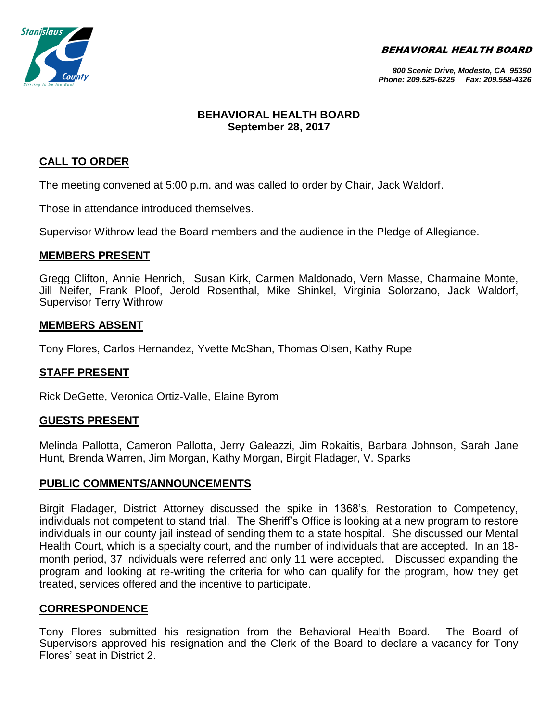BEHAVIORAL HEALTH BOARD



#### *800 Scenic Drive, Modesto, CA 95350 Phone: 209.525-6225 Fax: 209.558-4326*

## **BEHAVIORAL HEALTH BOARD September 28, 2017**

# **CALL TO ORDER**

The meeting convened at 5:00 p.m. and was called to order by Chair, Jack Waldorf.

Those in attendance introduced themselves.

Supervisor Withrow lead the Board members and the audience in the Pledge of Allegiance.

#### **MEMBERS PRESENT**

Gregg Clifton, Annie Henrich, Susan Kirk, Carmen Maldonado, Vern Masse, Charmaine Monte, Jill Neifer, Frank Ploof, Jerold Rosenthal, Mike Shinkel, Virginia Solorzano, Jack Waldorf, Supervisor Terry Withrow

#### **MEMBERS ABSENT**

Tony Flores, Carlos Hernandez, Yvette McShan, Thomas Olsen, Kathy Rupe

## **STAFF PRESENT**

Rick DeGette, Veronica Ortiz-Valle, Elaine Byrom

## **GUESTS PRESENT**

Melinda Pallotta, Cameron Pallotta, Jerry Galeazzi, Jim Rokaitis, Barbara Johnson, Sarah Jane Hunt, Brenda Warren, Jim Morgan, Kathy Morgan, Birgit Fladager, V. Sparks

#### **PUBLIC COMMENTS/ANNOUNCEMENTS**

Birgit Fladager, District Attorney discussed the spike in 1368's, Restoration to Competency, individuals not competent to stand trial. The Sheriff's Office is looking at a new program to restore individuals in our county jail instead of sending them to a state hospital. She discussed our Mental Health Court, which is a specialty court, and the number of individuals that are accepted. In an 18 month period, 37 individuals were referred and only 11 were accepted. Discussed expanding the program and looking at re-writing the criteria for who can qualify for the program, how they get treated, services offered and the incentive to participate.

## **CORRESPONDENCE**

Tony Flores submitted his resignation from the Behavioral Health Board. The Board of Supervisors approved his resignation and the Clerk of the Board to declare a vacancy for Tony Flores' seat in District 2.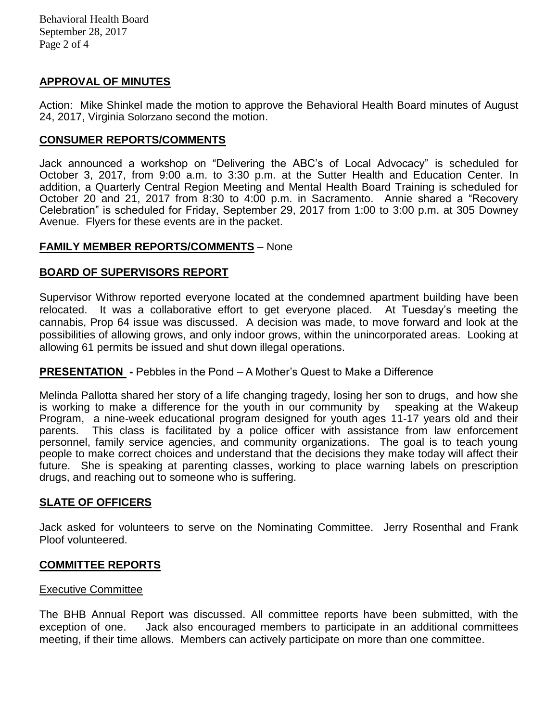## **APPROVAL OF MINUTES**

Action: Mike Shinkel made the motion to approve the Behavioral Health Board minutes of August 24, 2017, Virginia Solorzano second the motion.

#### **CONSUMER REPORTS/COMMENTS**

Jack announced a workshop on "Delivering the ABC's of Local Advocacy" is scheduled for October 3, 2017, from 9:00 a.m. to 3:30 p.m. at the Sutter Health and Education Center. In addition, a Quarterly Central Region Meeting and Mental Health Board Training is scheduled for October 20 and 21, 2017 from 8:30 to 4:00 p.m. in Sacramento. Annie shared a "Recovery Celebration" is scheduled for Friday, September 29, 2017 from 1:00 to 3:00 p.m. at 305 Downey Avenue. Flyers for these events are in the packet.

## **FAMILY MEMBER REPORTS/COMMENTS** – None

## **BOARD OF SUPERVISORS REPORT**

Supervisor Withrow reported everyone located at the condemned apartment building have been relocated. It was a collaborative effort to get everyone placed. At Tuesday's meeting the cannabis, Prop 64 issue was discussed. A decision was made, to move forward and look at the possibilities of allowing grows, and only indoor grows, within the unincorporated areas. Looking at allowing 61 permits be issued and shut down illegal operations.

## **PRESENTATION -** Pebbles in the Pond – A Mother's Quest to Make a Difference

Melinda Pallotta shared her story of a life changing tragedy, losing her son to drugs, and how she is working to make a difference for the youth in our community by speaking at the Wakeup Program, a nine-week educational program designed for youth ages 11-17 years old and their parents. This class is facilitated by a police officer with assistance from law enforcement personnel, family service agencies, and community organizations. The goal is to teach young people to make correct choices and understand that the decisions they make today will affect their future. She is speaking at parenting classes, working to place warning labels on prescription drugs, and reaching out to someone who is suffering.

## **SLATE OF OFFICERS**

Jack asked for volunteers to serve on the Nominating Committee. Jerry Rosenthal and Frank Ploof volunteered.

## **COMMITTEE REPORTS**

## Executive Committee

The BHB Annual Report was discussed. All committee reports have been submitted, with the exception of one. Jack also encouraged members to participate in an additional committees meeting, if their time allows. Members can actively participate on more than one committee.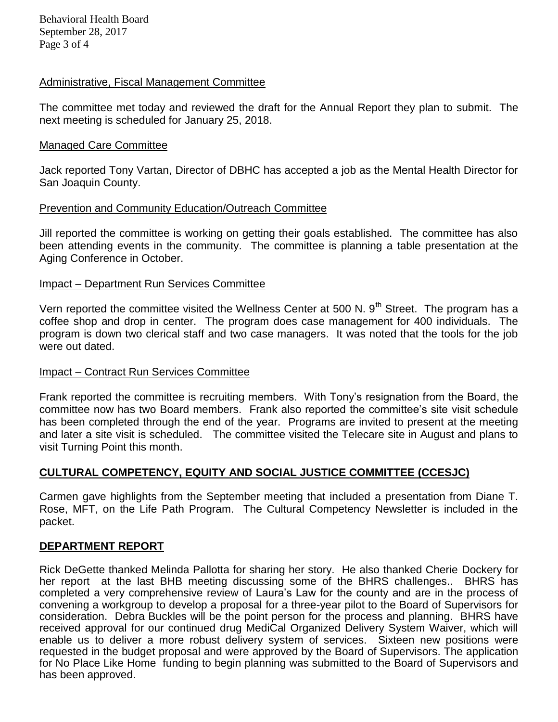Behavioral Health Board September 28, 2017 Page 3 of 4

#### Administrative, Fiscal Management Committee

The committee met today and reviewed the draft for the Annual Report they plan to submit. The next meeting is scheduled for January 25, 2018.

#### Managed Care Committee

Jack reported Tony Vartan, Director of DBHC has accepted a job as the Mental Health Director for San Joaquin County.

#### Prevention and Community Education/Outreach Committee

Jill reported the committee is working on getting their goals established. The committee has also been attending events in the community. The committee is planning a table presentation at the Aging Conference in October.

#### Impact – Department Run Services Committee

Vern reported the committee visited the Wellness Center at 500 N.  $9<sup>th</sup>$  Street. The program has a coffee shop and drop in center. The program does case management for 400 individuals. The program is down two clerical staff and two case managers. It was noted that the tools for the job were out dated.

#### Impact – Contract Run Services Committee

Frank reported the committee is recruiting members. With Tony's resignation from the Board, the committee now has two Board members. Frank also reported the committee's site visit schedule has been completed through the end of the year. Programs are invited to present at the meeting and later a site visit is scheduled. The committee visited the Telecare site in August and plans to visit Turning Point this month.

## **CULTURAL COMPETENCY, EQUITY AND SOCIAL JUSTICE COMMITTEE (CCESJC)**

Carmen gave highlights from the September meeting that included a presentation from Diane T. Rose, MFT, on the Life Path Program. The Cultural Competency Newsletter is included in the packet.

## **DEPARTMENT REPORT**

Rick DeGette thanked Melinda Pallotta for sharing her story. He also thanked Cherie Dockery for her report at the last BHB meeting discussing some of the BHRS challenges.. BHRS has completed a very comprehensive review of Laura's Law for the county and are in the process of convening a workgroup to develop a proposal for a three-year pilot to the Board of Supervisors for consideration. Debra Buckles will be the point person for the process and planning. BHRS have received approval for our continued drug MediCal Organized Delivery System Waiver, which will enable us to deliver a more robust delivery system of services. Sixteen new positions were requested in the budget proposal and were approved by the Board of Supervisors. The application for No Place Like Home funding to begin planning was submitted to the Board of Supervisors and has been approved.